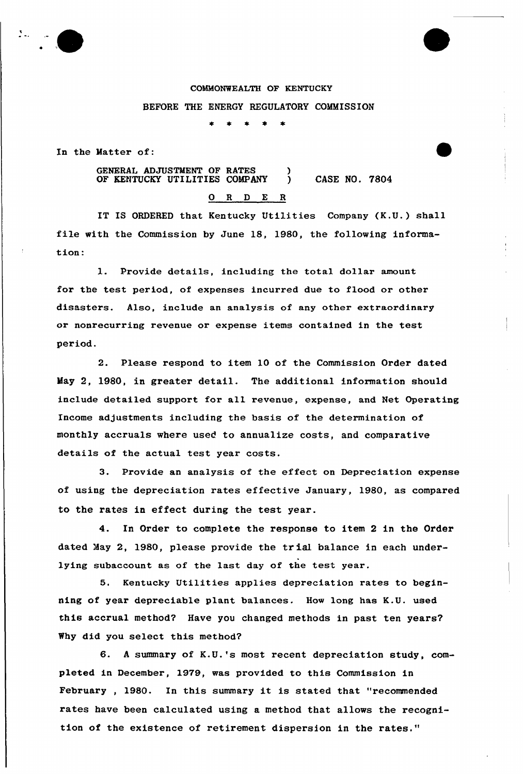

In the Matter of:

GENERAL ADJUSTMENT OF RATES (3)<br>OF KENTUCKY UTILITIES COMPANY OF KENTUCKY UTILITIES COMPANY ) CASE NO. 7804 0 R <sup>D</sup> E R

IT IS ORDERED that Kentucky Utilities Company (K.U.) shall file with the Commission by June 18, 1980, the following information:

1. Provide details, including the total dollax amount for the test period, of expenses incurred due to flood or other disasters. Also, include an analysis of any other extraordinary or nonrecurx'ing revenue or expense items contained in the test period.

2. Please respond to item 10 of the Commission Order dated May 2, 1980, in greater detail. The additional information should include detailed support for all revenue, expense, and Net Operating Income adjustments including the basis of the determination of monthly accruals where used to annualize costs, and comparative details of the actual test year costs.

3. Provide an analysis of the effect on Depreciation expense of using the depreciation rates effective January, 1980, as compared to the rates in effect during the test year.

4. In Order to complete the response to item 2 in the Order dated May 2, 1980, please provide the tr ial balance in each underlying subaccount as of the last day of the test year.

5. Kentucky Utilities applies depreciation rates to beginning of year depreciable plant balances. How long has K.U. used this accrual method? Have you changed methods in past ten years' Why did you select this method?

6. <sup>A</sup> summary of K.U.'s most recent depreciation study, completed in December, 1979, was provided to this Commission in February , 1980. In this summary it is stated that "recommended rates have been calculated using a method that allows the recognition of the existence of retirement dispersion in the rates."